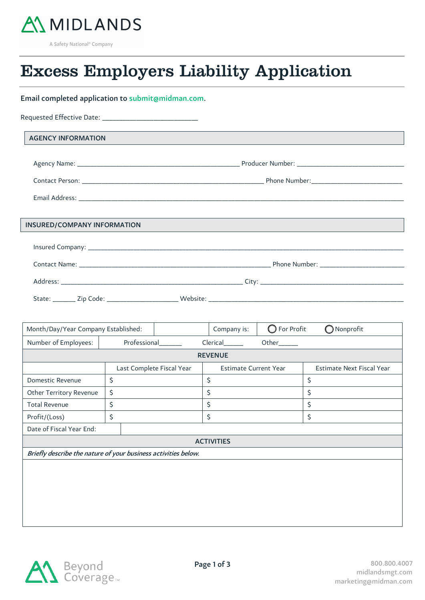

A Safety National<sup>®</sup> Company

 $\overline{a}$ 

## $\overline{a}$ Excess Employers Liability Application

## Email completed application to submit@midman.com.

| <b>AGENCY INFORMATION</b>   |  |
|-----------------------------|--|
|                             |  |
|                             |  |
|                             |  |
|                             |  |
| INSURED/COMPANY INFORMATION |  |
|                             |  |
|                             |  |
|                             |  |
|                             |  |

| Month/Day/Year Company Established:                            |                           | Company is: | $\bigcirc$ For Profit        | $\bigcirc$ Nonprofit      |  |
|----------------------------------------------------------------|---------------------------|-------------|------------------------------|---------------------------|--|
| Number of Employees:                                           | Professional              | Clerical    | Other_____                   |                           |  |
| <b>REVENUE</b>                                                 |                           |             |                              |                           |  |
|                                                                | Last Complete Fiscal Year |             | <b>Estimate Current Year</b> | Estimate Next Fiscal Year |  |
| Domestic Revenue                                               | \$                        | \$          | \$                           |                           |  |
| Other Territory Revenue                                        | \$                        | \$          | \$                           |                           |  |
| <b>Total Revenue</b>                                           | \$                        | \$          | \$                           |                           |  |
| Profit/(Loss)                                                  | \$                        | \$          | \$                           |                           |  |
| Date of Fiscal Year End:                                       |                           |             |                              |                           |  |
| <b>ACTIVITIES</b>                                              |                           |             |                              |                           |  |
| Briefly describe the nature of your business activities below. |                           |             |                              |                           |  |
|                                                                |                           |             |                              |                           |  |
|                                                                |                           |             |                              |                           |  |
|                                                                |                           |             |                              |                           |  |
|                                                                |                           |             |                              |                           |  |
|                                                                |                           |             |                              |                           |  |

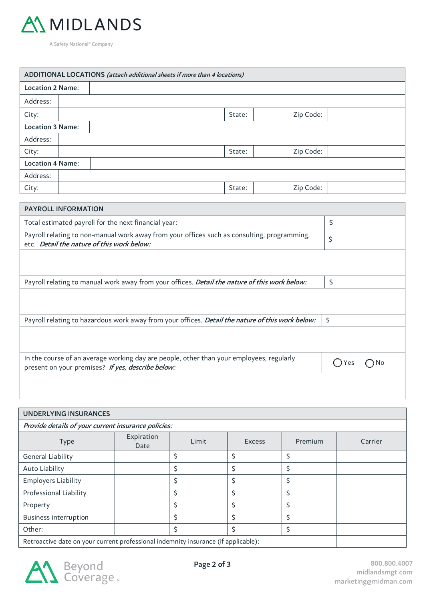

A Safety National<sup>®</sup> Company

|                                                                                                                                           | ADDITIONAL LOCATIONS (attach additional sheets if more than 4 locations) |        |    |           |  |  |
|-------------------------------------------------------------------------------------------------------------------------------------------|--------------------------------------------------------------------------|--------|----|-----------|--|--|
|                                                                                                                                           | <b>Location 2 Name:</b>                                                  |        |    |           |  |  |
| Address:                                                                                                                                  |                                                                          |        |    |           |  |  |
| City:                                                                                                                                     |                                                                          | State: |    | Zip Code: |  |  |
| <b>Location 3 Name:</b>                                                                                                                   |                                                                          |        |    |           |  |  |
| Address:                                                                                                                                  |                                                                          |        |    |           |  |  |
| City:                                                                                                                                     |                                                                          | State: |    | Zip Code: |  |  |
| <b>Location 4 Name:</b>                                                                                                                   |                                                                          |        |    |           |  |  |
| Address:                                                                                                                                  |                                                                          |        |    |           |  |  |
| City:                                                                                                                                     |                                                                          | State: |    | Zip Code: |  |  |
|                                                                                                                                           |                                                                          |        |    |           |  |  |
| <b>PAYROLL INFORMATION</b>                                                                                                                |                                                                          |        |    |           |  |  |
| Total estimated payroll for the next financial year:                                                                                      |                                                                          |        | \$ |           |  |  |
| Payroll relating to non-manual work away from your offices such as consulting, programming,<br>etc. Detail the nature of this work below: |                                                                          |        |    | \$        |  |  |
|                                                                                                                                           |                                                                          |        |    |           |  |  |

Payroll relating to manual work away from your offices. *Detail the nature of this work below:*  $\vert \mathcal{S} \vert$ 

| Payroll relating to hazardous work away from your offices. <i>Detail the nature of this work below:</i>   \$ |  |
|--------------------------------------------------------------------------------------------------------------|--|
|                                                                                                              |  |

In the course of an average working day are people, other than your employees, regularly In the course of an average working day are people, other than your employees, regularly  $O$  Yes  $O$  No present on your premises? If yes, describe below:

| <b>UNDERLYING INSURANCES</b><br>Provide details of your current insurance policies: |  |   |  |    |      |
|-------------------------------------------------------------------------------------|--|---|--|----|------|
|                                                                                     |  |   |  |    | Type |
| General Liability                                                                   |  |   |  | \$ |      |
| Auto Liability                                                                      |  | Ś |  | Ś  |      |
| <b>Employers Liability</b>                                                          |  |   |  |    |      |
| Professional Liability                                                              |  |   |  |    |      |
| Property                                                                            |  |   |  |    |      |
| <b>Business interruption</b>                                                        |  |   |  |    |      |
| Other:                                                                              |  |   |  | Ś  |      |
| Retroactive date on your current professional indemnity insurance (if applicable):  |  |   |  |    |      |